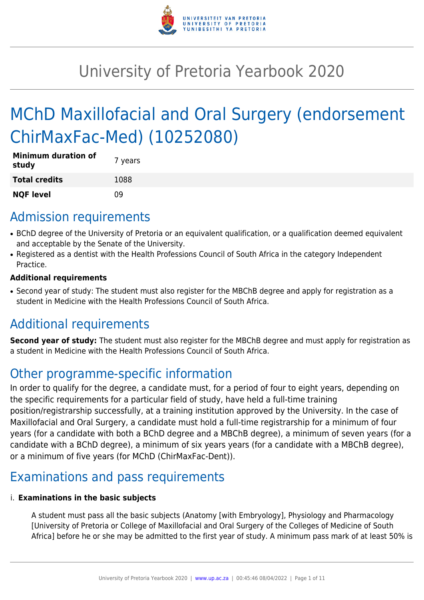

# University of Pretoria Yearbook 2020

# MChD Maxillofacial and Oral Surgery (endorsement ChirMaxFac-Med) (10252080)

| <b>Minimum duration of</b><br>study | 7 years |
|-------------------------------------|---------|
| <b>Total credits</b>                | 1088    |
| <b>NQF level</b>                    | n۹      |

# Admission requirements

- BChD degree of the University of Pretoria or an equivalent qualification, or a qualification deemed equivalent and acceptable by the Senate of the University.
- Registered as a dentist with the Health Professions Council of South Africa in the category Independent Practice.

### **Additional requirements**

• Second year of study: The student must also register for the MBChB degree and apply for registration as a student in Medicine with the Health Professions Council of South Africa.

# Additional requirements

**Second year of study:** The student must also register for the MBChB degree and must apply for registration as a student in Medicine with the Health Professions Council of South Africa.

# Other programme-specific information

In order to qualify for the degree, a candidate must, for a period of four to eight years, depending on the specific requirements for a particular field of study, have held a full-time training position/registrarship successfully, at a training institution approved by the University. In the case of Maxillofacial and Oral Surgery, a candidate must hold a full-time registrarship for a minimum of four years (for a candidate with both a BChD degree and a MBChB degree), a minimum of seven years (for a candidate with a BChD degree), a minimum of six years years (for a candidate with a MBChB degree), or a minimum of five years (for MChD (ChirMaxFac-Dent)).

# Examinations and pass requirements

### i. **Examinations in the basic subjects**

A student must pass all the basic subjects (Anatomy [with Embryology], Physiology and Pharmacology [University of Pretoria or College of Maxillofacial and Oral Surgery of the Colleges of Medicine of South Africa] before he or she may be admitted to the first year of study. A minimum pass mark of at least 50% is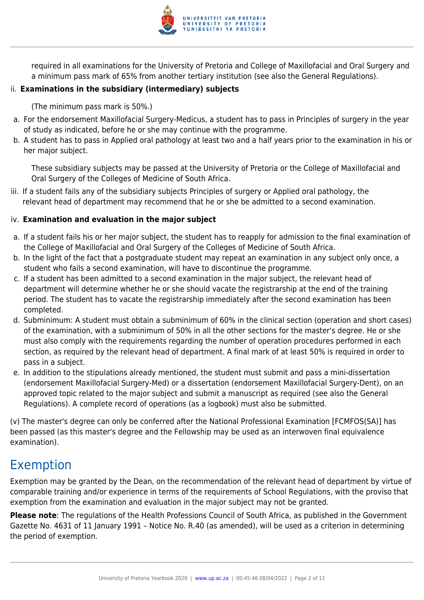

required in all examinations for the University of Pretoria and College of Maxillofacial and Oral Surgery and a minimum pass mark of 65% from another tertiary institution (see also the General Regulations).

### ii. **Examinations in the subsidiary (intermediary) subjects**

(The minimum pass mark is 50%.)

- a. For the endorsement Maxillofacial Surgery-Medicus, a student has to pass in Principles of surgery in the year of study as indicated, before he or she may continue with the programme.
- b. A student has to pass in Applied oral pathology at least two and a half years prior to the examination in his or her major subject.

These subsidiary subjects may be passed at the University of Pretoria or the College of Maxillofacial and Oral Surgery of the Colleges of Medicine of South Africa.

iii. If a student fails any of the subsidiary subjects Principles of surgery or Applied oral pathology, the relevant head of department may recommend that he or she be admitted to a second examination.

### iv. **Examination and evaluation in the major subject**

- a. If a student fails his or her major subject, the student has to reapply for admission to the final examination of the College of Maxillofacial and Oral Surgery of the Colleges of Medicine of South Africa.
- b. In the light of the fact that a postgraduate student may repeat an examination in any subject only once, a student who fails a second examination, will have to discontinue the programme.
- c. If a student has been admitted to a second examination in the major subject, the relevant head of department will determine whether he or she should vacate the registrarship at the end of the training period. The student has to vacate the registrarship immediately after the second examination has been completed.
- d. Subminimum: A student must obtain a subminimum of 60% in the clinical section (operation and short cases) of the examination, with a subminimum of 50% in all the other sections for the master's degree. He or she must also comply with the requirements regarding the number of operation procedures performed in each section, as required by the relevant head of department. A final mark of at least 50% is required in order to pass in a subject.
- e. In addition to the stipulations already mentioned, the student must submit and pass a mini-dissertation (endorsement Maxillofacial Surgery-Med) or a dissertation (endorsement Maxillofacial Surgery-Dent), on an approved topic related to the major subject and submit a manuscript as required (see also the General Regulations). A complete record of operations (as a logbook) must also be submitted.

(v) The master's degree can only be conferred after the National Professional Examination [FCMFOS(SA)] has been passed (as this master's degree and the Fellowship may be used as an interwoven final equivalence examination).

# Exemption

Exemption may be granted by the Dean, on the recommendation of the relevant head of department by virtue of comparable training and/or experience in terms of the requirements of School Regulations, with the proviso that exemption from the examination and evaluation in the major subject may not be granted.

**Please note**: The regulations of the Health Professions Council of South Africa, as published in the Government Gazette No. 4631 of 11 January 1991 – Notice No. R.40 (as amended), will be used as a criterion in determining the period of exemption.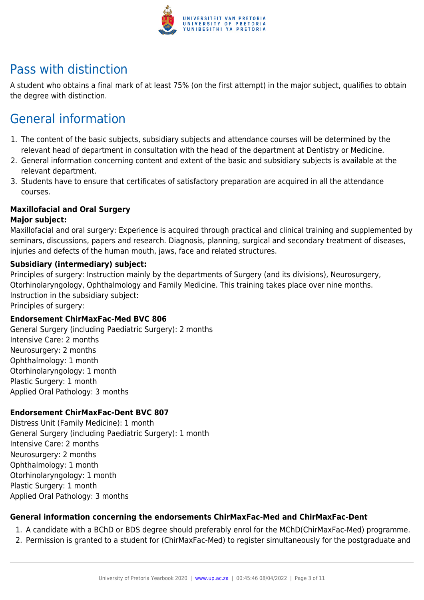

# Pass with distinction

A student who obtains a final mark of at least 75% (on the first attempt) in the major subject, qualifies to obtain the degree with distinction.

# General information

- 1. The content of the basic subjects, subsidiary subjects and attendance courses will be determined by the relevant head of department in consultation with the head of the department at Dentistry or Medicine.
- 2. General information concerning content and extent of the basic and subsidiary subjects is available at the relevant department.
- 3. Students have to ensure that certificates of satisfactory preparation are acquired in all the attendance courses.

### **Maxillofacial and Oral Surgery**

### **Major subject:**

Maxillofacial and oral surgery: Experience is acquired through practical and clinical training and supplemented by seminars, discussions, papers and research. Diagnosis, planning, surgical and secondary treatment of diseases, injuries and defects of the human mouth, jaws, face and related structures.

### **Subsidiary (intermediary) subject:**

Principles of surgery: Instruction mainly by the departments of Surgery (and its divisions), Neurosurgery, Otorhinolaryngology, Ophthalmology and Family Medicine. This training takes place over nine months. Instruction in the subsidiary subject:

Principles of surgery:

### **Endorsement ChirMaxFac-Med BVC 806**

General Surgery (including Paediatric Surgery): 2 months Intensive Care: 2 months Neurosurgery: 2 months Ophthalmology: 1 month Otorhinolaryngology: 1 month Plastic Surgery: 1 month Applied Oral Pathology: 3 months

### **Endorsement ChirMaxFac-Dent BVC 807**

Distress Unit (Family Medicine): 1 month General Surgery (including Paediatric Surgery): 1 month Intensive Care: 2 months Neurosurgery: 2 months Ophthalmology: 1 month Otorhinolaryngology: 1 month Plastic Surgery: 1 month Applied Oral Pathology: 3 months

### **General information concerning the endorsements ChirMaxFac-Med and ChirMaxFac-Dent**

- 1. A candidate with a BChD or BDS degree should preferably enrol for the MChD(ChirMaxFac-Med) programme.
- 2. Permission is granted to a student for (ChirMaxFac-Med) to register simultaneously for the postgraduate and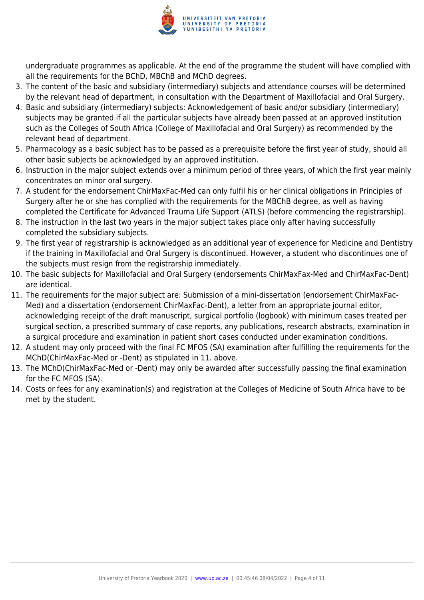

undergraduate programmes as applicable. At the end of the programme the student will have complied with all the requirements for the BChD, MBChB and MChD degrees.

- 3. The content of the basic and subsidiary (intermediary) subjects and attendance courses will be determined by the relevant head of department, in consultation with the Department of Maxillofacial and Oral Surgery.
- 4. Basic and subsidiary (intermediary) subjects: Acknowledgement of basic and/or subsidiary (intermediary) subjects may be granted if all the particular subjects have already been passed at an approved institution such as the Colleges of South Africa (College of Maxillofacial and Oral Surgery) as recommended by the relevant head of department.
- 5. Pharmacology as a basic subject has to be passed as a prerequisite before the first year of study, should all other basic subjects be acknowledged by an approved institution.
- 6. Instruction in the major subject extends over a minimum period of three years, of which the first year mainly concentrates on minor oral surgery.
- 7. A student for the endorsement ChirMaxFac-Med can only fulfil his or her clinical obligations in Principles of Surgery after he or she has complied with the requirements for the MBChB degree, as well as having completed the Certificate for Advanced Trauma Life Support (ATLS) (before commencing the registrarship).
- 8. The instruction in the last two years in the major subject takes place only after having successfully completed the subsidiary subjects.
- 9. The first year of registrarship is acknowledged as an additional year of experience for Medicine and Dentistry if the training in Maxillofacial and Oral Surgery is discontinued. However, a student who discontinues one of the subjects must resign from the registrarship immediately.
- 10. The basic subjects for Maxillofacial and Oral Surgery (endorsements ChirMaxFax-Med and ChirMaxFac-Dent) are identical.
- 11. The requirements for the major subject are: Submission of a mini-dissertation (endorsement ChirMaxFac-Med) and a dissertation (endorsement ChirMaxFac-Dent), a letter from an appropriate journal editor, acknowledging receipt of the draft manuscript, surgical portfolio (logbook) with minimum cases treated per surgical section, a prescribed summary of case reports, any publications, research abstracts, examination in a surgical procedure and examination in patient short cases conducted under examination conditions.
- 12. A student may only proceed with the final FC MFOS (SA) examination after fulfilling the requirements for the MChD(ChirMaxFac-Med or -Dent) as stipulated in 11. above.
- 13. The MChD(ChirMaxFac-Med or -Dent) may only be awarded after successfully passing the final examination for the FC MFOS (SA).
- 14. Costs or fees for any examination(s) and registration at the Colleges of Medicine of South Africa have to be met by the student.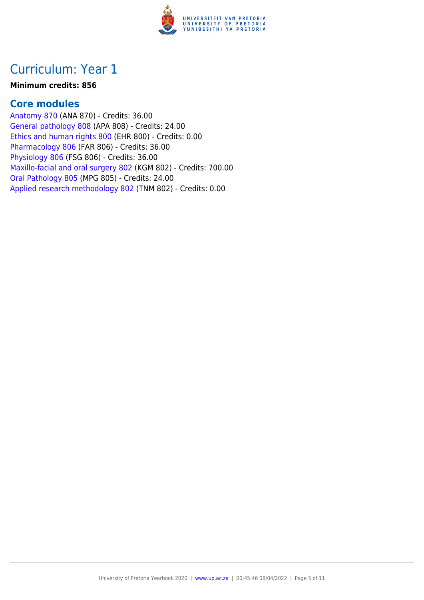

#### **Minimum credits: 856**

### **Core modules**

[Anatomy 870](https://www.up.ac.za/faculty-of-education/yearbooks/2020/modules/view/ANA 870) (ANA 870) - Credits: 36.00 [General pathology 808](https://www.up.ac.za/faculty-of-education/yearbooks/2020/modules/view/APA 808) (APA 808) - Credits: 24.00 [Ethics and human rights 800](https://www.up.ac.za/faculty-of-education/yearbooks/2020/modules/view/EHR 800) (EHR 800) - Credits: 0.00 [Pharmacology 806](https://www.up.ac.za/faculty-of-education/yearbooks/2020/modules/view/FAR 806) (FAR 806) - Credits: 36.00 [Physiology 806](https://www.up.ac.za/faculty-of-education/yearbooks/2020/modules/view/FSG 806) (FSG 806) - Credits: 36.00 [Maxillo-facial and oral surgery 802](https://www.up.ac.za/faculty-of-education/yearbooks/2020/modules/view/KGM 802) (KGM 802) - Credits: 700.00 [Oral Pathology 805](https://www.up.ac.za/faculty-of-education/yearbooks/2020/modules/view/MPG 805) (MPG 805) - Credits: 24.00 [Applied research methodology 802](https://www.up.ac.za/faculty-of-education/yearbooks/2020/modules/view/TNM 802) (TNM 802) - Credits: 0.00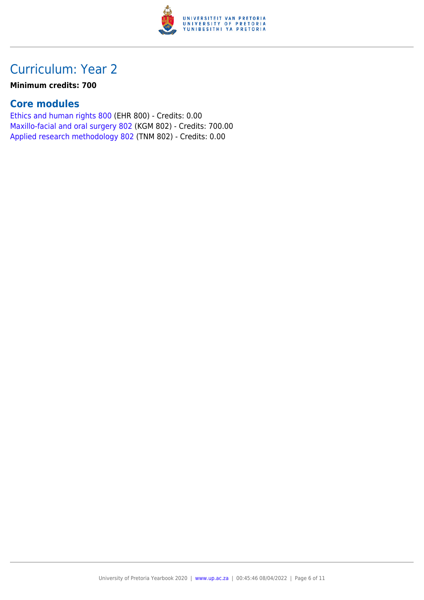

### **Minimum credits: 700**

## **Core modules**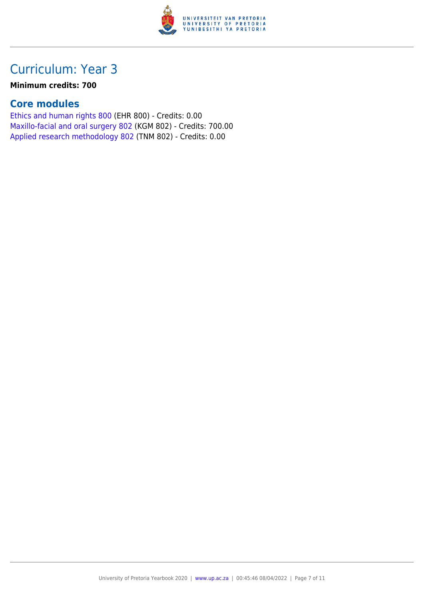

### **Minimum credits: 700**

## **Core modules**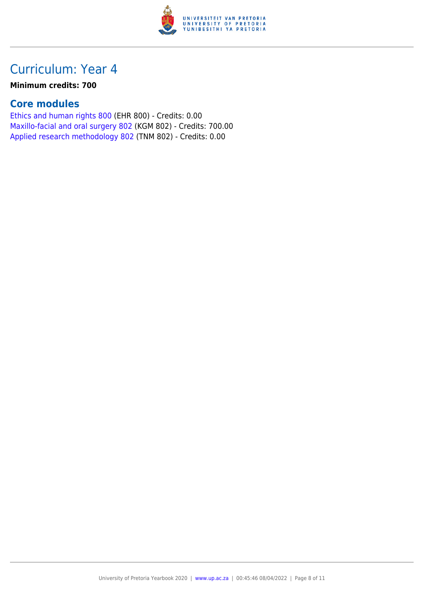

### **Minimum credits: 700**

## **Core modules**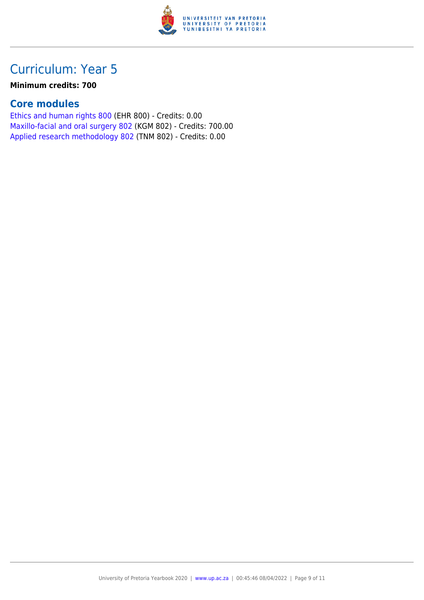

### **Minimum credits: 700**

## **Core modules**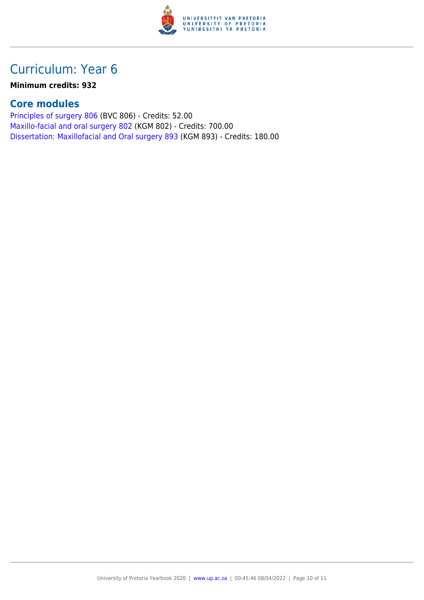

#### **Minimum credits: 932**

### **Core modules**

[Principles of surgery 806](https://www.up.ac.za/faculty-of-education/yearbooks/2020/modules/view/BVC 806) (BVC 806) - Credits: 52.00 [Maxillo-facial and oral surgery 802](https://www.up.ac.za/faculty-of-education/yearbooks/2020/modules/view/KGM 802) (KGM 802) - Credits: 700.00 [Dissertation: Maxillofacial and Oral surgery 893](https://www.up.ac.za/faculty-of-education/yearbooks/2020/modules/view/KGM 893) (KGM 893) - Credits: 180.00